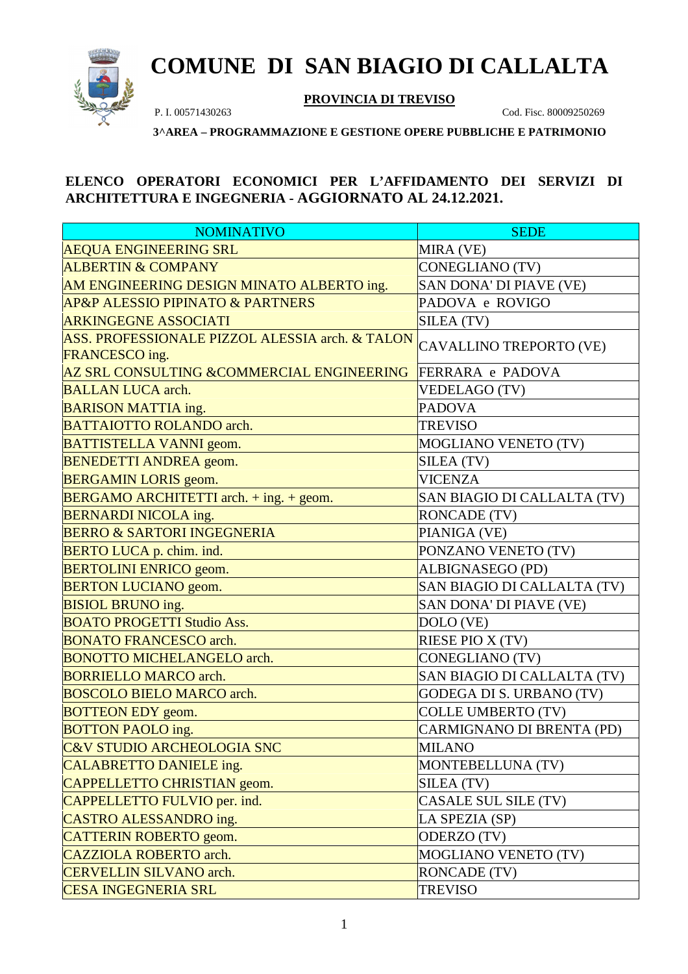

## **COMUNE DI SAN BIAGIO DI CALLALTA**

**PROVINCIA DI TREVISO**

P. I. 00571430263 Cod. Fisc. 80009250269

**3^AREA – PROGRAMMAZIONE E GESTIONE OPERE PUBBLICHE E PATRIMONIO**

## **ELENCO OPERATORI ECONOMICI PER L'AFFIDAMENTO DEI SERVIZI DI ARCHITETTURA E INGEGNERIA - AGGIORNATO AL 24.12.2021.**

| <b>NOMINATIVO</b>                                                 | <b>SEDE</b>                     |
|-------------------------------------------------------------------|---------------------------------|
| <b>AEQUA ENGINEERING SRL</b>                                      | MIRA (VE)                       |
| <b>ALBERTIN &amp; COMPANY</b>                                     | <b>CONEGLIANO (TV)</b>          |
| AM ENGINEERING DESIGN MINATO ALBERTO ing.                         | SAN DONA' DI PIAVE (VE)         |
| <b>AP&amp;P ALESSIO PIPINATO &amp; PARTNERS</b>                   | PADOVA e ROVIGO                 |
| <b>ARKINGEGNE ASSOCIATI</b>                                       | SILEA (TV)                      |
| ASS. PROFESSIONALE PIZZOL ALESSIA arch. & TALON<br>FRANCESCO ing. | CAVALLINO TREPORTO (VE)         |
| <b>AZ SRL CONSULTING &amp; COMMERCIAL ENGINEERING</b>             | FERRARA e PADOVA                |
| <b>BALLAN LUCA arch.</b>                                          | <b>VEDELAGO (TV)</b>            |
| <b>BARISON MATTIA ing.</b>                                        | <b>PADOVA</b>                   |
| <b>BATTAIOTTO ROLANDO arch.</b>                                   | <b>TREVISO</b>                  |
| <b>BATTISTELLA VANNI geom.</b>                                    | MOGLIANO VENETO (TV)            |
| <b>BENEDETTI ANDREA</b> geom.                                     | SILEA (TV)                      |
| <b>BERGAMIN LORIS</b> geom.                                       | <b>VICENZA</b>                  |
| <b>BERGAMO ARCHITETTI</b> arch. $+$ ing. $+$ geom.                | SAN BIAGIO DI CALLALTA (TV)     |
| <b>BERNARDI NICOLA ing.</b>                                       | <b>RONCADE (TV)</b>             |
| <b>BERRO &amp; SARTORI INGEGNERIA</b>                             | PIANIGA (VE)                    |
| <b>BERTO LUCA p. chim. ind.</b>                                   | PONZANO VENETO (TV)             |
| <b>BERTOLINI ENRICO</b> geom.                                     | ALBIGNASEGO (PD)                |
| <b>BERTON LUCIANO geom.</b>                                       | SAN BIAGIO DI CALLALTA (TV)     |
| <b>BISIOL BRUNO ing.</b>                                          | SAN DONA' DI PIAVE (VE)         |
| <b>BOATO PROGETTI Studio Ass.</b>                                 | DOLO (VE)                       |
| <b>BONATO FRANCESCO arch.</b>                                     | RIESE PIO X (TV)                |
| <b>BONOTTO MICHELANGELO arch.</b>                                 | <b>CONEGLIANO (TV)</b>          |
| <b>BORRIELLO MARCO arch.</b>                                      | SAN BIAGIO DI CALLALTA (TV)     |
| <b>BOSCOLO BIELO MARCO arch.</b>                                  | <b>GODEGA DI S. URBANO (TV)</b> |
| <b>BOTTEON EDY</b> geom.                                          | <b>COLLE UMBERTO (TV)</b>       |
| <b>BOTTON PAOLO ing.</b>                                          | CARMIGNANO DI BRENTA (PD)       |
| <b>C&amp;V STUDIO ARCHEOLOGIA SNC</b>                             | <b>MILANO</b>                   |
| <b>CALABRETTO DANIELE ing.</b>                                    | MONTEBELLUNA (TV)               |
| CAPPELLETTO CHRISTIAN geom.                                       | SILEA (TV)                      |
| CAPPELLETTO FULVIO per. ind.                                      | CASALE SUL SILE (TV)            |
| <b>CASTRO ALESSANDRO ing.</b>                                     | LA SPEZIA (SP)                  |
| <b>CATTERIN ROBERTO</b> geom.                                     | ODERZO (TV)                     |
| <b>CAZZIOLA ROBERTO arch.</b>                                     | <b>MOGLIANO VENETO (TV)</b>     |
| <b>CERVELLIN SILVANO arch.</b>                                    | <b>RONCADE (TV)</b>             |
| <b>CESA INGEGNERIA SRL</b>                                        | <b>TREVISO</b>                  |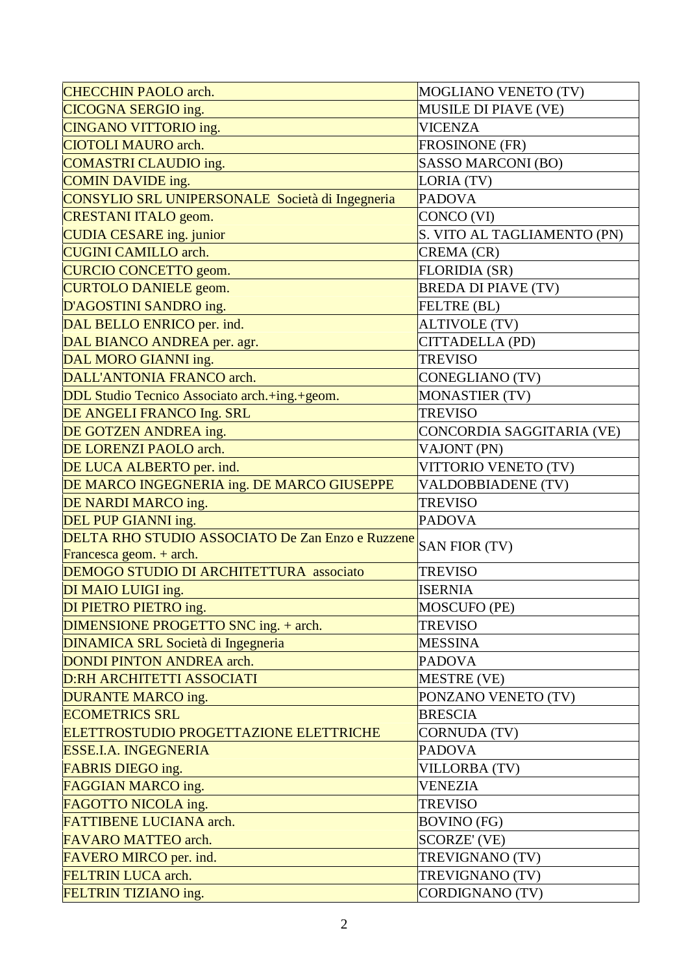| <b>CHECCHIN PAOLO arch.</b>                                    | MOGLIANO VENETO (TV)        |
|----------------------------------------------------------------|-----------------------------|
| <b>CICOGNA SERGIO ing.</b>                                     | <b>MUSILE DI PIAVE (VE)</b> |
| <b>CINGANO VITTORIO ing.</b>                                   | <b>VICENZA</b>              |
| <b>CIOTOLI MAURO arch.</b>                                     | <b>FROSINONE (FR)</b>       |
| <b>COMASTRI CLAUDIO ing.</b>                                   | SASSO MARCONI (BO)          |
| <b>COMIN DAVIDE</b> ing.                                       | LORIA (TV)                  |
| CONSYLIO SRL UNIPERSONALE Società di Ingegneria                | <b>PADOVA</b>               |
| <b>CRESTANI ITALO geom.</b>                                    | CONCO (VI)                  |
| <b>CUDIA CESARE</b> ing. junior                                | S. VITO AL TAGLIAMENTO (PN) |
| <b>CUGINI CAMILLO arch.</b>                                    | CREMA (CR)                  |
| <b>CURCIO CONCETTO geom.</b>                                   | <b>FLORIDIA (SR)</b>        |
| <b>CURTOLO DANIELE geom.</b>                                   | <b>BREDA DI PIAVE (TV)</b>  |
| D'AGOSTINI SANDRO ing.                                         | <b>FELTRE (BL)</b>          |
| DAL BELLO ENRICO per. ind.                                     | <b>ALTIVOLE (TV)</b>        |
| DAL BIANCO ANDREA per. agr.                                    | CITTADELLA (PD)             |
| DAL MORO GIANNI ing.                                           | <b>TREVISO</b>              |
| DALL'ANTONIA FRANCO arch.                                      | <b>CONEGLIANO (TV)</b>      |
| DDL Studio Tecnico Associato arch.+ing.+geom.                  | <b>MONASTIER (TV)</b>       |
| DE ANGELI FRANCO Ing. SRL                                      | <b>TREVISO</b>              |
| DE GOTZEN ANDREA ing.                                          | CONCORDIA SAGGITARIA (VE)   |
| DE LORENZI PAOLO arch.                                         | VAJONT (PN)                 |
| DE LUCA ALBERTO per. ind.                                      | VITTORIO VENETO (TV)        |
| DE MARCO INGEGNERIA ing. DE MARCO GIUSEPPE                     | <b>VALDOBBIADENE (TV)</b>   |
| DE NARDI MARCO ing.                                            | <b>TREVISO</b>              |
| DEL PUP GIANNI ing.                                            | <b>PADOVA</b>               |
| DELTA RHO STUDIO ASSOCIATO De Zan Enzo e Ruzzene SAN FIOR (TV) |                             |
| Francesca geom. + arch.                                        |                             |
| DEMOGO STUDIO DI ARCHITETTURA associato                        | <b>TREVISO</b>              |
| DI MAIO LUIGI ing.                                             | <b>ISERNIA</b>              |
| DI PIETRO PIETRO ing.                                          | MOSCUFO (PE)                |
| DIMENSIONE PROGETTO SNC ing. + arch.                           | <b>TREVISO</b>              |
| <b>DINAMICA SRL Società di Ingegneria</b>                      | <b>MESSINA</b>              |
| <b>DONDI PINTON ANDREA arch.</b>                               | <b>PADOVA</b>               |
| <b>D:RH ARCHITETTI ASSOCIATI</b>                               | MESTRE (VE)                 |
| DURANTE MARCO ing.                                             | PONZANO VENETO (TV)         |
| <b>ECOMETRICS SRL</b>                                          | <b>BRESCIA</b>              |
| ELETTROSTUDIO PROGETTAZIONE ELETTRICHE                         | <b>CORNUDA (TV)</b>         |
| <b>ESSE.I.A. INGEGNERIA</b>                                    | <b>PADOVA</b>               |
| <b>FABRIS DIEGO ing.</b>                                       | <b>VILLORBA (TV)</b>        |
| FAGGIAN MARCO ing.                                             | <b>VENEZIA</b>              |
| FAGOTTO NICOLA ing.                                            | <b>TREVISO</b>              |
| <b>FATTIBENE LUCIANA arch.</b>                                 | <b>BOVINO</b> (FG)          |
| <b>FAVARO MATTEO arch.</b>                                     | SCORZE' (VE)                |
| FAVERO MIRCO per. ind.                                         | TREVIGNANO (TV)             |
| <b>FELTRIN LUCA arch.</b>                                      | TREVIGNANO (TV)             |
| FELTRIN TIZIANO ing.                                           | CORDIGNANO (TV)             |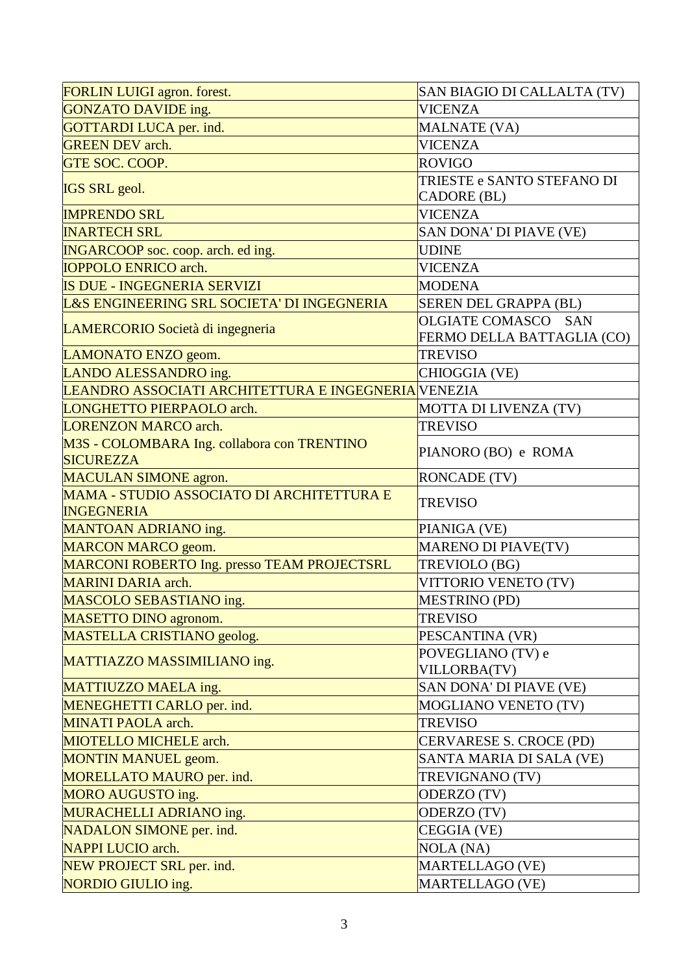| FORLIN LUIGI agron. forest.                                           | SAN BIAGIO DI CALLALTA (TV) |
|-----------------------------------------------------------------------|-----------------------------|
| GONZATO DAVIDE ing.                                                   | <b>VICENZA</b>              |
| <b>GOTTARDI LUCA per. ind.</b>                                        | <b>MALNATE (VA)</b>         |
| <b>GREEN DEV</b> arch.                                                | <b>VICENZA</b>              |
| GTE SOC. COOP.                                                        | <b>ROVIGO</b>               |
|                                                                       | TRIESTE e SANTO STEFANO DI  |
| <b>IGS SRL</b> geol.                                                  | <b>CADORE</b> (BL)          |
| <b>IMPRENDO SRL</b>                                                   | <b>VICENZA</b>              |
| <b>INARTECH SRL</b>                                                   | SAN DONA' DI PIAVE (VE)     |
| <b>INGARCOOP</b> soc. coop. arch. ed ing.                             | <b>UDINE</b>                |
| <b>IOPPOLO ENRICO arch.</b>                                           | <b>VICENZA</b>              |
| <b>IS DUE - INGEGNERIA SERVIZI</b>                                    | <b>MODENA</b>               |
| L&S ENGINEERING SRL SOCIETA' DI INGEGNERIA                            | SEREN DEL GRAPPA (BL)       |
| LAMERCORIO Società di ingegneria                                      | OLGIATE COMASCO SAN         |
|                                                                       | FERMO DELLA BATTAGLIA (CO)  |
| LAMONATO ENZO geom.                                                   | <b>TREVISO</b>              |
| LANDO ALESSANDRO ing.                                                 | CHIOGGIA (VE)               |
| LEANDRO ASSOCIATI ARCHITETTURA E INGEGNERIA VENEZIA                   |                             |
| <b>LONGHETTO PIERPAOLO arch.</b>                                      | MOTTA DI LIVENZA (TV)       |
| <b>LORENZON MARCO arch.</b>                                           | <b>TREVISO</b>              |
| M3S - COLOMBARA Ing. collabora con TRENTINO<br><b>SICUREZZA</b>       | PIANORO (BO) e ROMA         |
| <b>MACULAN SIMONE agron.</b>                                          | <b>RONCADE (TV)</b>         |
| <b>MAMA - STUDIO ASSOCIATO DI ARCHITETTURA E</b><br><b>INGEGNERIA</b> | <b>TREVISO</b>              |
| <b>MANTOAN ADRIANO ing.</b>                                           | PIANIGA (VE)                |
| <b>MARCON MARCO geom.</b>                                             | MARENO DI PIAVE(TV)         |
| MARCONI ROBERTO Ing. presso TEAM PROJECTSRL                           | TREVIOLO (BG)               |
| <b>MARINI DARIA</b> arch.                                             | VITTORIO VENETO (TV)        |
| MASCOLO SEBASTIANO ing.                                               | <b>MESTRINO (PD)</b>        |
| <b>MASETTO DINO agronom.</b>                                          | <b>TREVISO</b>              |
| MASTELLA CRISTIANO geolog.                                            | PESCANTINA (VR)             |
|                                                                       | POVEGLIANO (TV) e           |
| MATTIAZZO MASSIMILIANO ing.                                           | VILLORBA(TV)                |
| MATTIUZZO MAELA ing.                                                  | SAN DONA' DI PIAVE (VE)     |
| MENEGHETTI CARLO per. ind.                                            | <b>MOGLIANO VENETO (TV)</b> |
| <b>MINATI PAOLA arch.</b>                                             | <b>TREVISO</b>              |
| <b>MIOTELLO MICHELE arch.</b>                                         | CERVARESE S. CROCE (PD)     |
| <b>MONTIN MANUEL geom.</b>                                            | SANTA MARIA DI SALA (VE)    |
| MORELLATO MAURO per. ind.                                             | TREVIGNANO (TV)             |
| MORO AUGUSTO ing.                                                     | ODERZO (TV)                 |
| MURACHELLI ADRIANO ing.                                               | ODERZO (TV)                 |
| NADALON SIMONE per. ind.                                              | CEGGIA (VE)                 |
| <b>NAPPI LUCIO</b> arch.                                              | <b>NOLA</b> (NA)            |
| NEW PROJECT SRL per. ind.                                             | MARTELLAGO (VE)             |
| NORDIO GIULIO ing.                                                    | MARTELLAGO (VE)             |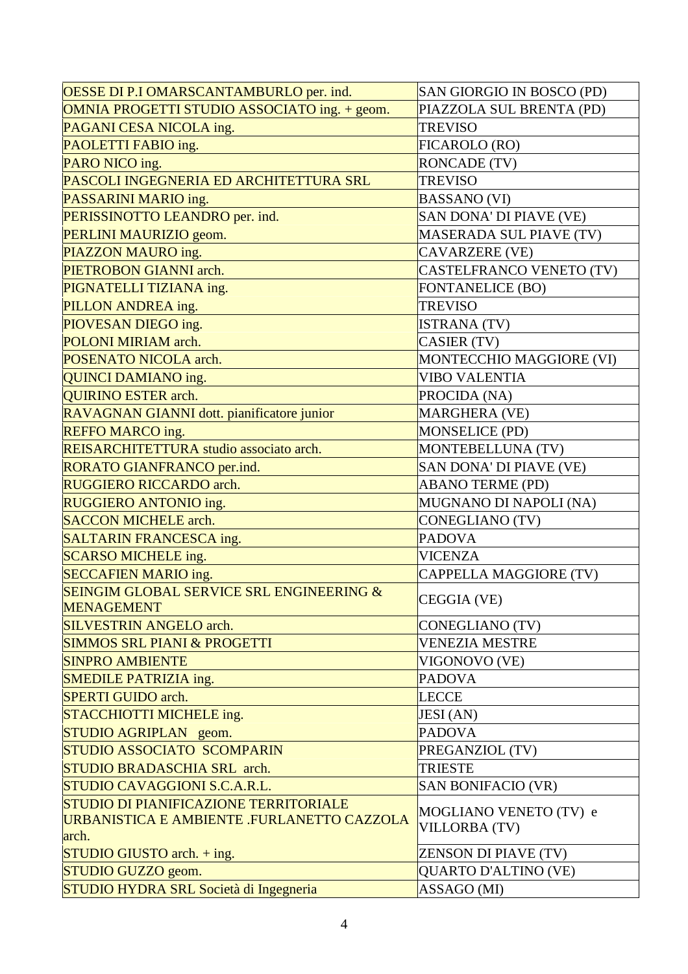| OESSE DI P.I OMARSCANTAMBURLO per. ind.             | SAN GIORGIO IN BOSCO (PD)   |
|-----------------------------------------------------|-----------------------------|
| OMNIA PROGETTI STUDIO ASSOCIATO ing. + geom.        | PIAZZOLA SUL BRENTA (PD)    |
| PAGANI CESA NICOLA ing.                             | <b>TREVISO</b>              |
| PAOLETTI FABIO ing.                                 | FICAROLO (RO)               |
| PARO NICO ing.                                      | <b>RONCADE (TV)</b>         |
| PASCOLI INGEGNERIA ED ARCHITETTURA SRL              | <b>TREVISO</b>              |
| PASSARINI MARIO ing.                                | <b>BASSANO</b> (VI)         |
| PERISSINOTTO LEANDRO per. ind.                      | SAN DONA' DI PIAVE (VE)     |
| PERLINI MAURIZIO geom.                              | MASERADA SUL PIAVE (TV)     |
| PIAZZON MAURO ing.                                  | <b>CAVARZERE (VE)</b>       |
| PIETROBON GIANNI arch.                              | CASTELFRANCO VENETO (TV)    |
| PIGNATELLI TIZIANA ing.                             | <b>FONTANELICE (BO)</b>     |
| PILLON ANDREA ing.                                  | <b>TREVISO</b>              |
| PIOVESAN DIEGO ing.                                 | <b>ISTRANA (TV)</b>         |
| <b>POLONI MIRIAM arch.</b>                          | CASIER (TV)                 |
| POSENATO NICOLA arch.                               | MONTECCHIO MAGGIORE (VI)    |
| <b>QUINCI DAMIANO ing.</b>                          | <b>VIBO VALENTIA</b>        |
| <b>QUIRINO ESTER arch.</b>                          | PROCIDA (NA)                |
| RAVAGNAN GIANNI dott. pianificatore junior          | MARGHERA (VE)               |
| <b>REFFO MARCO ing.</b>                             | <b>MONSELICE (PD)</b>       |
| REISARCHITETTURA studio associato arch.             | MONTEBELLUNA (TV)           |
| RORATO GIANFRANCO per.ind.                          | SAN DONA' DI PIAVE (VE)     |
| <b>RUGGIERO RICCARDO arch.</b>                      | <b>ABANO TERME (PD)</b>     |
| RUGGIERO ANTONIO ing.                               | MUGNANO DI NAPOLI (NA)      |
| <b>SACCON MICHELE arch.</b>                         | <b>CONEGLIANO (TV)</b>      |
| SALTARIN FRANCESCA ing.                             | <b>PADOVA</b>               |
| <b>SCARSO MICHELE ing.</b>                          | <b>VICENZA</b>              |
| <b>SECCAFIEN MARIO ing.</b>                         | CAPPELLA MAGGIORE (TV)      |
| <b>SEINGIM GLOBAL SERVICE SRL ENGINEERING &amp;</b> |                             |
| <b>MENAGEMENT</b>                                   | CEGGIA (VE)                 |
| <b>SILVESTRIN ANGELO arch.</b>                      | CONEGLIANO (TV)             |
| <b>SIMMOS SRL PIANI &amp; PROGETTI</b>              | <b>VENEZIA MESTRE</b>       |
| <b>SINPRO AMBIENTE</b>                              | VIGONOVO (VE)               |
| <b>SMEDILE PATRIZIA ing.</b>                        | <b>PADOVA</b>               |
| <b>SPERTI GUIDO</b> arch.                           | <b>LECCE</b>                |
| STACCHIOTTI MICHELE ing.                            | <b>JESI</b> (AN)            |
| STUDIO AGRIPLAN geom.                               | <b>PADOVA</b>               |
| <b>STUDIO ASSOCIATO SCOMPARIN</b>                   | PREGANZIOL (TV)             |
| <b>STUDIO BRADASCHIA SRL arch.</b>                  | <b>TRIESTE</b>              |
| STUDIO CAVAGGIONI S.C.A.R.L.                        | <b>SAN BONIFACIO (VR)</b>   |
| STUDIO DI PIANIFICAZIONE TERRITORIALE               | MOGLIANO VENETO (TV) e      |
| URBANISTICA E AMBIENTE .FURLANETTO CAZZOLA          | <b>VILLORBA (TV)</b>        |
| arch.                                               |                             |
| $STUDIO$ GIUSTO arch. $+$ ing.                      | <b>ZENSON DI PIAVE (TV)</b> |
| STUDIO GUZZO geom.                                  | <b>QUARTO D'ALTINO (VE)</b> |
| STUDIO HYDRA SRL Società di Ingegneria              | ASSAGO (MI)                 |